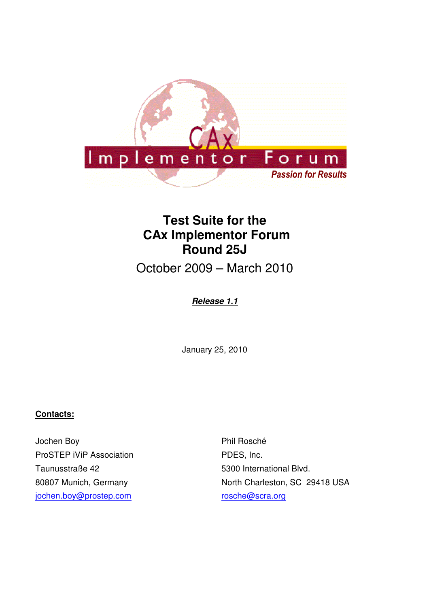

# **Test Suite for the CAx Implementor Forum Round 25J**

October 2009 – March 2010

### **Release 1.1**

January 25, 2010

#### **Contacts:**

Jochen Boy ProSTEP iViP Association Taunusstraße 42 80807 Munich, Germany jochen.boy@prostep.com

Phil Rosché PDES, Inc. 5300 International Blvd. North Charleston, SC 29418 USA rosche@scra.org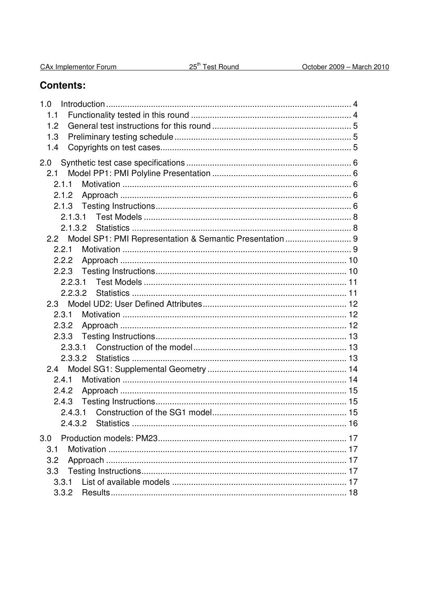| CAx Implementor Forum |  |
|-----------------------|--|
|                       |  |

## **Contents:**

| 1.0     |  |
|---------|--|
| 1.1     |  |
| 1.2     |  |
| 1.3     |  |
| 1.4     |  |
| 2.0     |  |
| 2.1     |  |
| 2.1.1   |  |
| 2.1.2   |  |
|         |  |
| 2.1.3.1 |  |
|         |  |
|         |  |
| 2.2.1   |  |
| 2.2.2   |  |
| 2.2.3   |  |
|         |  |
|         |  |
|         |  |
| 2.3.1   |  |
| 2.3.2   |  |
| 2.3.3   |  |
|         |  |
|         |  |
|         |  |
| 2.4.1   |  |
| 2.4.2   |  |
| 2.4.3   |  |
|         |  |
|         |  |
| 3.0     |  |
| 3.1     |  |
| 3.2     |  |
| 3.3     |  |
| 3.3.1   |  |
| 3.3.2   |  |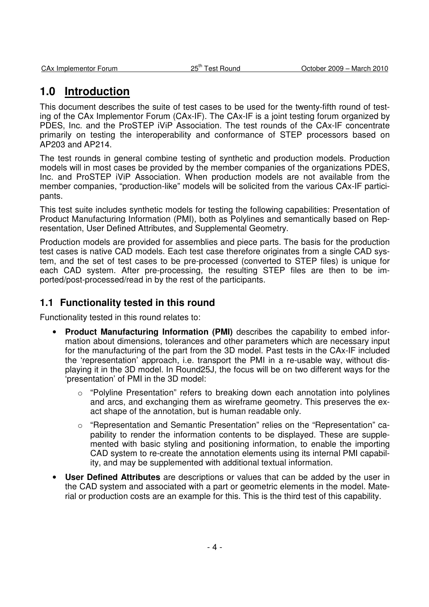## **1.0 Introduction**

This document describes the suite of test cases to be used for the twenty-fifth round of testing of the CAx Implementor Forum (CAx-IF). The CAx-IF is a joint testing forum organized by PDES, Inc. and the ProSTEP iViP Association. The test rounds of the CAx-IF concentrate primarily on testing the interoperability and conformance of STEP processors based on AP203 and AP214.

The test rounds in general combine testing of synthetic and production models. Production models will in most cases be provided by the member companies of the organizations PDES, Inc. and ProSTEP iViP Association. When production models are not available from the member companies, "production-like" models will be solicited from the various CAx-IF participants.

This test suite includes synthetic models for testing the following capabilities: Presentation of Product Manufacturing Information (PMI), both as Polylines and semantically based on Representation, User Defined Attributes, and Supplemental Geometry.

Production models are provided for assemblies and piece parts. The basis for the production test cases is native CAD models. Each test case therefore originates from a single CAD system, and the set of test cases to be pre-processed (converted to STEP files) is unique for each CAD system. After pre-processing, the resulting STEP files are then to be imported/post-processed/read in by the rest of the participants.

### **1.1 Functionality tested in this round**

Functionality tested in this round relates to:

- **Product Manufacturing Information (PMI)** describes the capability to embed information about dimensions, tolerances and other parameters which are necessary input for the manufacturing of the part from the 3D model. Past tests in the CAx-IF included the 'representation' approach, i.e. transport the PMI in a re-usable way, without displaying it in the 3D model. In Round25J, the focus will be on two different ways for the 'presentation' of PMI in the 3D model:
	- o "Polyline Presentation" refers to breaking down each annotation into polylines and arcs, and exchanging them as wireframe geometry. This preserves the exact shape of the annotation, but is human readable only.
	- o "Representation and Semantic Presentation" relies on the "Representation" capability to render the information contents to be displayed. These are supplemented with basic styling and positioning information, to enable the importing CAD system to re-create the annotation elements using its internal PMI capability, and may be supplemented with additional textual information.
- **User Defined Attributes** are descriptions or values that can be added by the user in the CAD system and associated with a part or geometric elements in the model. Material or production costs are an example for this. This is the third test of this capability.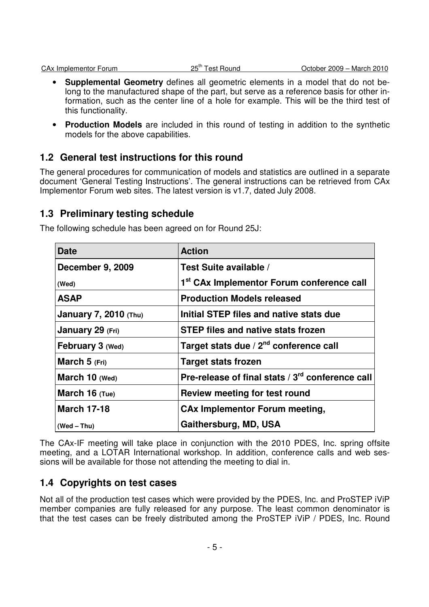- **Supplemental Geometry** defines all geometric elements in a model that do not belong to the manufactured shape of the part, but serve as a reference basis for other information, such as the center line of a hole for example. This will be the third test of this functionality.
- **Production Models** are included in this round of testing in addition to the synthetic models for the above capabilities.

### **1.2 General test instructions for this round**

The general procedures for communication of models and statistics are outlined in a separate document 'General Testing Instructions'. The general instructions can be retrieved from CAx Implementor Forum web sites. The latest version is v1.7, dated July 2008.

## **1.3 Preliminary testing schedule**

| <b>Date</b>                  | <b>Action</b>                                         |
|------------------------------|-------------------------------------------------------|
| <b>December 9, 2009</b>      | Test Suite available /                                |
| (Wed)                        | 1 <sup>st</sup> CAx Implementor Forum conference call |
| <b>ASAP</b>                  | <b>Production Models released</b>                     |
| <b>January 7, 2010 (Thu)</b> | Initial STEP files and native stats due               |
| January 29 (Fri)             | <b>STEP files and native stats frozen</b>             |
| <b>February 3 (Wed)</b>      | Target stats due / 2 <sup>nd</sup> conference call    |
| March 5 (Fri)                | <b>Target stats frozen</b>                            |
| March 10 (Wed)               | Pre-release of final stats / 3rd conference call      |
| March $16$ (Tue)             | <b>Review meeting for test round</b>                  |
| <b>March 17-18</b>           | <b>CAx Implementor Forum meeting,</b>                 |
| $(Wed - Thu)$                | Gaithersburg, MD, USA                                 |

The following schedule has been agreed on for Round 25J:

The CAx-IF meeting will take place in conjunction with the 2010 PDES, Inc. spring offsite meeting, and a LOTAR International workshop. In addition, conference calls and web sessions will be available for those not attending the meeting to dial in.

### **1.4 Copyrights on test cases**

Not all of the production test cases which were provided by the PDES, Inc. and ProSTEP iViP member companies are fully released for any purpose. The least common denominator is that the test cases can be freely distributed among the ProSTEP iViP / PDES, Inc. Round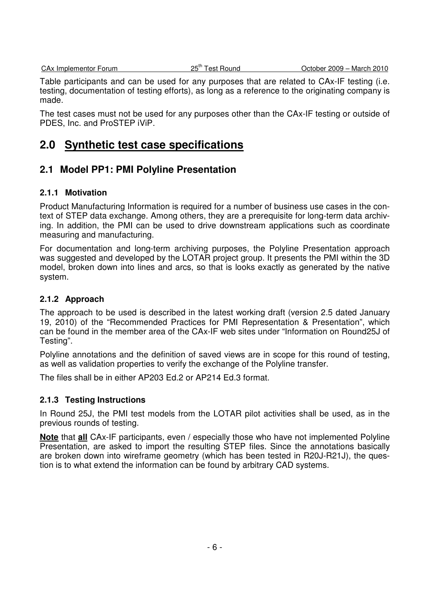Table participants and can be used for any purposes that are related to CAx-IF testing (i.e. testing, documentation of testing efforts), as long as a reference to the originating company is made.

The test cases must not be used for any purposes other than the CAx-IF testing or outside of PDES, Inc. and ProSTEP iViP.

## **2.0 Synthetic test case specifications**

## **2.1 Model PP1: PMI Polyline Presentation**

#### **2.1.1 Motivation**

Product Manufacturing Information is required for a number of business use cases in the context of STEP data exchange. Among others, they are a prerequisite for long-term data archiving. In addition, the PMI can be used to drive downstream applications such as coordinate measuring and manufacturing.

For documentation and long-term archiving purposes, the Polyline Presentation approach was suggested and developed by the LOTAR project group. It presents the PMI within the 3D model, broken down into lines and arcs, so that is looks exactly as generated by the native system.

#### **2.1.2 Approach**

The approach to be used is described in the latest working draft (version 2.5 dated January 19, 2010) of the "Recommended Practices for PMI Representation & Presentation", which can be found in the member area of the CAx-IF web sites under "Information on Round25J of Testing".

Polyline annotations and the definition of saved views are in scope for this round of testing, as well as validation properties to verify the exchange of the Polyline transfer.

The files shall be in either AP203 Ed.2 or AP214 Ed.3 format.

#### **2.1.3 Testing Instructions**

In Round 25J, the PMI test models from the LOTAR pilot activities shall be used, as in the previous rounds of testing.

**Note** that **all** CAx-IF participants, even / especially those who have not implemented Polyline Presentation, are asked to import the resulting STEP files. Since the annotations basically are broken down into wireframe geometry (which has been tested in R20J-R21J), the question is to what extend the information can be found by arbitrary CAD systems.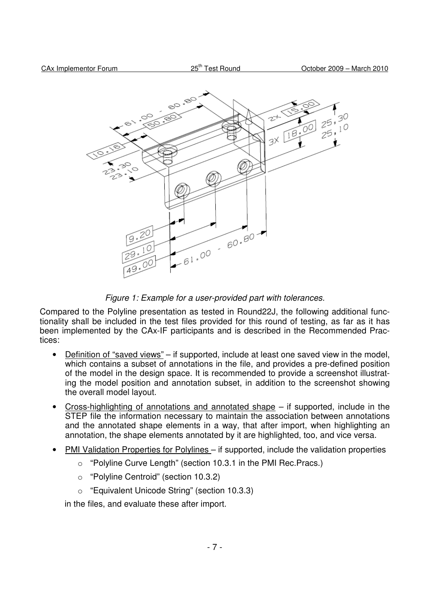

Figure 1: Example for a user-provided part with tolerances.

Compared to the Polyline presentation as tested in Round22J, the following additional functionality shall be included in the test files provided for this round of testing, as far as it has been implemented by the CAx-IF participants and is described in the Recommended Practices:

- Definition of "saved views" if supported, include at least one saved view in the model, which contains a subset of annotations in the file, and provides a pre-defined position of the model in the design space. It is recommended to provide a screenshot illustrating the model position and annotation subset, in addition to the screenshot showing the overall model layout.
- Cross-highlighting of annotations and annotated shape  $-$  if supported, include in the STEP file the information necessary to maintain the association between annotations and the annotated shape elements in a way, that after import, when highlighting an annotation, the shape elements annotated by it are highlighted, too, and vice versa.
- PMI Validation Properties for Polylines if supported, include the validation properties
	- o "Polyline Curve Length" (section 10.3.1 in the PMI Rec.Pracs.)
	- o "Polyline Centroid" (section 10.3.2)
	- o "Equivalent Unicode String" (section 10.3.3)

in the files, and evaluate these after import.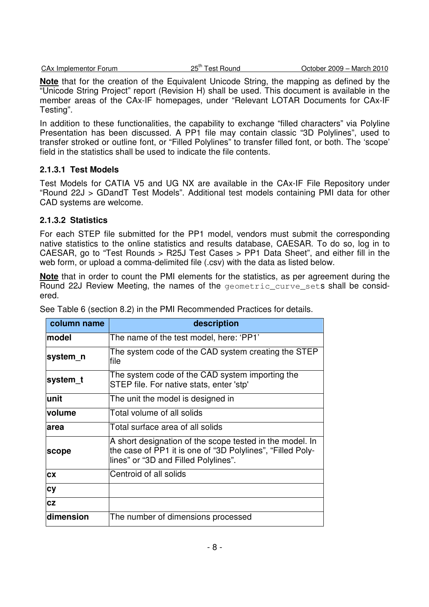CAx Implementor Forum 25<sup>th</sup> Test Round 25<sup>th</sup> Test Round 2010

**Note** that for the creation of the Equivalent Unicode String, the mapping as defined by the "Unicode String Project" report (Revision H) shall be used. This document is available in the member areas of the CAx-IF homepages, under "Relevant LOTAR Documents for CAx-IF Testing".

In addition to these functionalities, the capability to exchange "filled characters" via Polyline Presentation has been discussed. A PP1 file may contain classic "3D Polylines", used to transfer stroked or outline font, or "Filled Polylines" to transfer filled font, or both. The 'scope' field in the statistics shall be used to indicate the file contents.

#### **2.1.3.1 Test Models**

Test Models for CATIA V5 and UG NX are available in the CAx-IF File Repository under "Round 22J > GDandT Test Models". Additional test models containing PMI data for other CAD systems are welcome.

#### **2.1.3.2 Statistics**

For each STEP file submitted for the PP1 model, vendors must submit the corresponding native statistics to the online statistics and results database, CAESAR. To do so, log in to CAESAR, go to "Test Rounds > R25J Test Cases > PP1 Data Sheet", and either fill in the web form, or upload a comma-delimited file (.csv) with the data as listed below.

**Note** that in order to count the PMI elements for the statistics, as per agreement during the Round 22J Review Meeting, the names of the geometric\_curve\_sets shall be considered.

| column name   | description                                                                                                                                                    |
|---------------|----------------------------------------------------------------------------------------------------------------------------------------------------------------|
| <b>model</b>  | The name of the test model, here: 'PP1'                                                                                                                        |
| system_n      | The system code of the CAD system creating the STEP<br>file                                                                                                    |
| system_t      | The system code of the CAD system importing the<br>STEP file. For native stats, enter 'stp'                                                                    |
| lunit         | The unit the model is designed in                                                                                                                              |
| <b>volume</b> | Total volume of all solids                                                                                                                                     |
| larea         | Total surface area of all solids                                                                                                                               |
| scope         | A short designation of the scope tested in the model. In<br>the case of PP1 it is one of "3D Polylines", "Filled Poly-<br>lines" or "3D and Filled Polylines". |
| <b>CX</b>     | Centroid of all solids                                                                                                                                         |
| <b>cy</b>     |                                                                                                                                                                |
| <b>CZ</b>     |                                                                                                                                                                |
| dimension     | The number of dimensions processed                                                                                                                             |

See Table 6 (section 8.2) in the PMI Recommended Practices for details.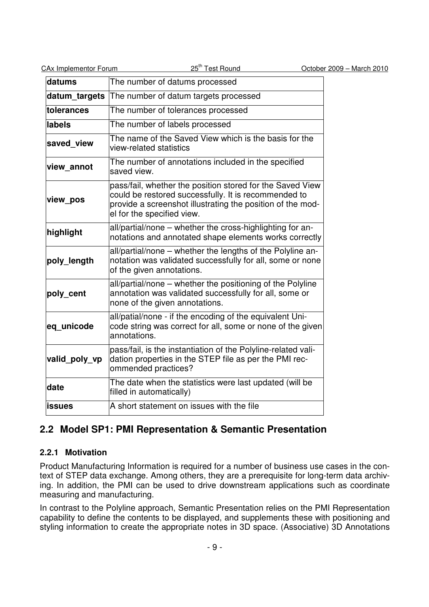| CAx Implementor Forum | 25 <sup>th</sup> Test Round                                                                                                                                                                                   | October 2009 - March 2010 |
|-----------------------|---------------------------------------------------------------------------------------------------------------------------------------------------------------------------------------------------------------|---------------------------|
| datums                | The number of datums processed                                                                                                                                                                                |                           |
| datum_targets         | The number of datum targets processed                                                                                                                                                                         |                           |
| tolerances            | The number of tolerances processed                                                                                                                                                                            |                           |
| labels                | The number of labels processed                                                                                                                                                                                |                           |
| saved view            | The name of the Saved View which is the basis for the<br>view-related statistics                                                                                                                              |                           |
| view annot            | The number of annotations included in the specified<br>saved view.                                                                                                                                            |                           |
| view_pos              | pass/fail, whether the position stored for the Saved View<br>could be restored successfully. It is recommended to<br>provide a screenshot illustrating the position of the mod-<br>el for the specified view. |                           |
| highlight             | all/partial/none – whether the cross-highlighting for an-<br>notations and annotated shape elements works correctly                                                                                           |                           |
| poly_length           | all/partial/none – whether the lengths of the Polyline an-<br>notation was validated successfully for all, some or none<br>of the given annotations.                                                          |                           |
| poly_cent             | all/partial/none - whether the positioning of the Polyline<br>annotation was validated successfully for all, some or<br>none of the given annotations.                                                        |                           |
| eq unicode            | all/patial/none - if the encoding of the equivalent Uni-<br>code string was correct for all, some or none of the given<br>annotations.                                                                        |                           |
| valid poly vp         | pass/fail, is the instantiation of the Polyline-related vali-<br>dation properties in the STEP file as per the PMI rec-<br>ommended practices?                                                                |                           |
| date                  | The date when the statistics were last updated (will be<br>filled in automatically)                                                                                                                           |                           |
| <b>issues</b>         | A short statement on issues with the file                                                                                                                                                                     |                           |

## **2.2 Model SP1: PMI Representation & Semantic Presentation**

### **2.2.1 Motivation**

Product Manufacturing Information is required for a number of business use cases in the context of STEP data exchange. Among others, they are a prerequisite for long-term data archiving. In addition, the PMI can be used to drive downstream applications such as coordinate measuring and manufacturing.

In contrast to the Polyline approach, Semantic Presentation relies on the PMI Representation capability to define the contents to be displayed, and supplements these with positioning and styling information to create the appropriate notes in 3D space. (Associative) 3D Annotations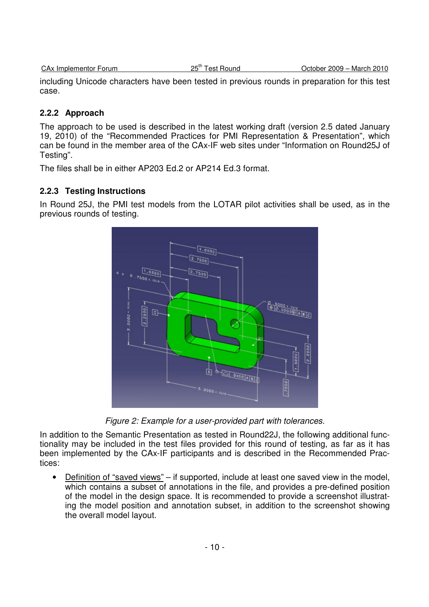|  | CA <sub>x</sub> Implementor Forum |  |
|--|-----------------------------------|--|
|  |                                   |  |

including Unicode characters have been tested in previous rounds in preparation for this test case.

#### **2.2.2 Approach**

The approach to be used is described in the latest working draft (version 2.5 dated January 19, 2010) of the "Recommended Practices for PMI Representation & Presentation", which can be found in the member area of the CAx-IF web sites under "Information on Round25J of Testing".

The files shall be in either AP203 Ed.2 or AP214 Ed.3 format.

#### **2.2.3 Testing Instructions**

In Round 25J, the PMI test models from the LOTAR pilot activities shall be used, as in the previous rounds of testing.



Figure 2: Example for a user-provided part with tolerances.

In addition to the Semantic Presentation as tested in Round22J, the following additional functionality may be included in the test files provided for this round of testing, as far as it has been implemented by the CAx-IF participants and is described in the Recommended Practices:

• Definition of "saved views" – if supported, include at least one saved view in the model, which contains a subset of annotations in the file, and provides a pre-defined position of the model in the design space. It is recommended to provide a screenshot illustrating the model position and annotation subset, in addition to the screenshot showing the overall model layout.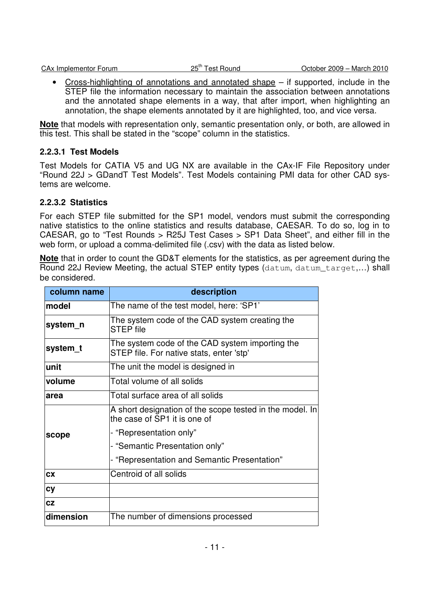• Cross-highlighting of annotations and annotated shape – if supported, include in the STEP file the information necessary to maintain the association between annotations and the annotated shape elements in a way, that after import, when highlighting an annotation, the shape elements annotated by it are highlighted, too, and vice versa.

**Note** that models with representation only, semantic presentation only, or both, are allowed in this test. This shall be stated in the "scope" column in the statistics.

#### **2.2.3.1 Test Models**

Test Models for CATIA V5 and UG NX are available in the CAx-IF File Repository under "Round 22J > GDandT Test Models". Test Models containing PMI data for other CAD systems are welcome.

#### **2.2.3.2 Statistics**

For each STEP file submitted for the SP1 model, vendors must submit the corresponding native statistics to the online statistics and results database, CAESAR. To do so, log in to CAESAR, go to "Test Rounds > R25J Test Cases > SP1 Data Sheet", and either fill in the web form, or upload a comma-delimited file (.csv) with the data as listed below.

**Note** that in order to count the GD&T elements for the statistics, as per agreement during the Round 22J Review Meeting, the actual STEP entity types (datum, datum\_target,…) shall be considered.

| column name | description                                                                                 |
|-------------|---------------------------------------------------------------------------------------------|
| model       | The name of the test model, here: 'SP1'                                                     |
| system_n    | The system code of the CAD system creating the<br><b>STEP file</b>                          |
| system_t    | The system code of the CAD system importing the<br>STEP file. For native stats, enter 'stp' |
| unit        | The unit the model is designed in                                                           |
| volume      | Total volume of all solids                                                                  |
| area        | Total surface area of all solids                                                            |
|             | A short designation of the scope tested in the model. In<br>the case of SP1 it is one of    |
| scope       | - "Representation only"                                                                     |
|             | - "Semantic Presentation only"                                                              |
|             | - "Representation and Semantic Presentation"                                                |
| <b>CX</b>   | Centroid of all solids                                                                      |
| cy          |                                                                                             |
| <b>CZ</b>   |                                                                                             |
| dimension   | The number of dimensions processed                                                          |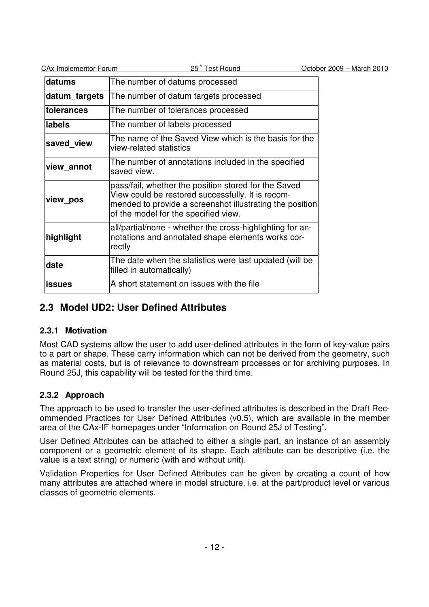| <b>CAx Implementor Forum</b> | 25 <sup>th</sup> Test Round                                                                                                                                                                                   | October 2009 - March 2010 |
|------------------------------|---------------------------------------------------------------------------------------------------------------------------------------------------------------------------------------------------------------|---------------------------|
| datums                       | The number of datums processed                                                                                                                                                                                |                           |
| datum_targets                | The number of datum targets processed                                                                                                                                                                         |                           |
| tolerances                   | The number of tolerances processed                                                                                                                                                                            |                           |
| labels                       | The number of labels processed                                                                                                                                                                                |                           |
| saved view                   | The name of the Saved View which is the basis for the<br>view-related statistics                                                                                                                              |                           |
| view annot                   | The number of annotations included in the specified<br>saved view.                                                                                                                                            |                           |
| view pos                     | pass/fail, whether the position stored for the Saved<br>View could be restored successfully. It is recom-<br>mended to provide a screenshot illustrating the position<br>of the model for the specified view. |                           |
| highlight                    | all/partial/none - whether the cross-highlighting for an-<br>notations and annotated shape elements works cor-<br>rectly                                                                                      |                           |
| date                         | The date when the statistics were last updated (will be<br>filled in automatically)                                                                                                                           |                           |
| <b>issues</b>                | A short statement on issues with the file                                                                                                                                                                     |                           |

## **2.3 Model UD2: User Defined Attributes**

#### **2.3.1 Motivation**

Most CAD systems allow the user to add user-defined attributes in the form of key-value pairs to a part or shape. These carry information which can not be derived from the geometry, such as material costs, but is of relevance to downstream processes or for archiving purposes. In Round 25J, this capability will be tested for the third time.

## **2.3.2 Approach**

The approach to be used to transfer the user-defined attributes is described in the Draft Recommended Practices for User Defined Attributes (v0.5), which are available in the member area of the CAx-IF homepages under "Information on Round 25J of Testing".

User Defined Attributes can be attached to either a single part, an instance of an assembly component or a geometric element of its shape. Each attribute can be descriptive (i.e. the value is a text string) or numeric (with and without unit).

Validation Properties for User Defined Attributes can be given by creating a count of how many attributes are attached where in model structure, i.e. at the part/product level or various classes of geometric elements.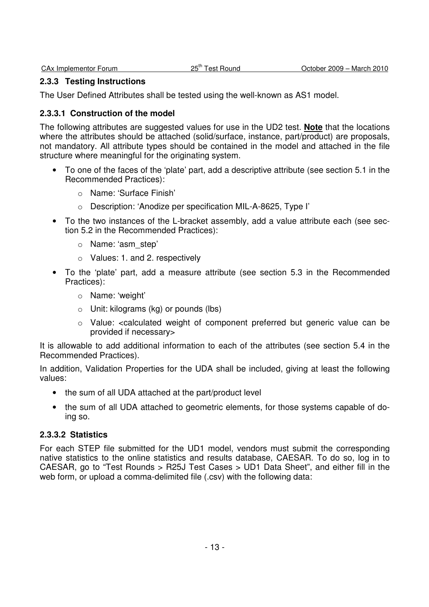#### **2.3.3 Testing Instructions**

The User Defined Attributes shall be tested using the well-known as AS1 model.

#### **2.3.3.1 Construction of the model**

The following attributes are suggested values for use in the UD2 test. **Note** that the locations where the attributes should be attached (solid/surface, instance, part/product) are proposals, not mandatory. All attribute types should be contained in the model and attached in the file structure where meaningful for the originating system.

- To one of the faces of the 'plate' part, add a descriptive attribute (see section 5.1 in the Recommended Practices):
	- o Name: 'Surface Finish'
	- o Description: 'Anodize per specification MIL-A-8625, Type I'
- To the two instances of the L-bracket assembly, add a value attribute each (see section 5.2 in the Recommended Practices):
	- o Name: 'asm\_step'
	- o Values: 1. and 2. respectively
- To the 'plate' part, add a measure attribute (see section 5.3 in the Recommended Practices):
	- o Name: 'weight'
	- $\circ$  Unit: kilograms (kg) or pounds (lbs)
	- o Value: <calculated weight of component preferred but generic value can be provided if necessary>

It is allowable to add additional information to each of the attributes (see section 5.4 in the Recommended Practices).

In addition, Validation Properties for the UDA shall be included, giving at least the following values:

- the sum of all UDA attached at the part/product level
- the sum of all UDA attached to geometric elements, for those systems capable of doing so.

#### **2.3.3.2 Statistics**

For each STEP file submitted for the UD1 model, vendors must submit the corresponding native statistics to the online statistics and results database, CAESAR. To do so, log in to CAESAR, go to "Test Rounds > R25J Test Cases > UD1 Data Sheet", and either fill in the web form, or upload a comma-delimited file (.csv) with the following data: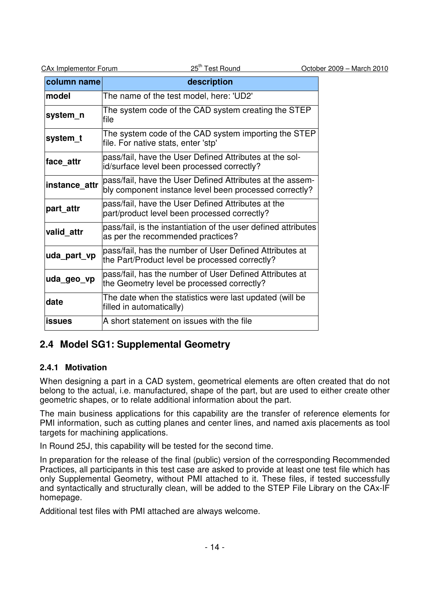| CAx Implementor Forum |  |
|-----------------------|--|
|                       |  |

| column name   | description                                                                                                         |
|---------------|---------------------------------------------------------------------------------------------------------------------|
| <b>model</b>  | The name of the test model, here: 'UD2'                                                                             |
| system_n      | The system code of the CAD system creating the STEP<br>file                                                         |
| system_t      | The system code of the CAD system importing the STEP<br>file. For native stats, enter 'stp'                         |
| face attr     | pass/fail, have the User Defined Attributes at the sol-<br>id/surface level been processed correctly?               |
| instance_attr | pass/fail, have the User Defined Attributes at the assem-<br>bly component instance level been processed correctly? |
| part attr     | pass/fail, have the User Defined Attributes at the<br>part/product level been processed correctly?                  |
| valid attr    | pass/fail, is the instantiation of the user defined attributes<br>as per the recommended practices?                 |
| uda_part_vp   | pass/fail, has the number of User Defined Attributes at<br>the Part/Product level be processed correctly?           |
| uda_geo_vp    | pass/fail, has the number of User Defined Attributes at<br>the Geometry level be processed correctly?               |
| date          | The date when the statistics were last updated (will be<br>filled in automatically)                                 |
| <b>issues</b> | A short statement on issues with the file                                                                           |

## **2.4 Model SG1: Supplemental Geometry**

#### **2.4.1 Motivation**

When designing a part in a CAD system, geometrical elements are often created that do not belong to the actual, i.e. manufactured, shape of the part, but are used to either create other geometric shapes, or to relate additional information about the part.

The main business applications for this capability are the transfer of reference elements for PMI information, such as cutting planes and center lines, and named axis placements as tool targets for machining applications.

In Round 25J, this capability will be tested for the second time.

In preparation for the release of the final (public) version of the corresponding Recommended Practices, all participants in this test case are asked to provide at least one test file which has only Supplemental Geometry, without PMI attached to it. These files, if tested successfully and syntactically and structurally clean, will be added to the STEP File Library on the CAx-IF homepage.

Additional test files with PMI attached are always welcome.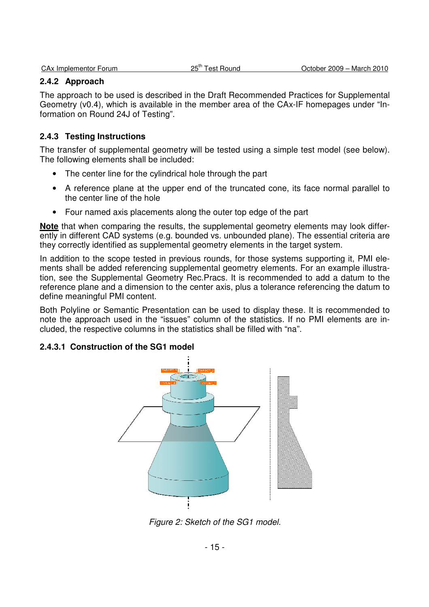#### **2.4.2 Approach**

The approach to be used is described in the Draft Recommended Practices for Supplemental Geometry (v0.4), which is available in the member area of the CAx-IF homepages under "Information on Round 24J of Testing".

#### **2.4.3 Testing Instructions**

The transfer of supplemental geometry will be tested using a simple test model (see below). The following elements shall be included:

- The center line for the cylindrical hole through the part
- A reference plane at the upper end of the truncated cone, its face normal parallel to the center line of the hole
- Four named axis placements along the outer top edge of the part

**Note** that when comparing the results, the supplemental geometry elements may look differently in different CAD systems (e.g. bounded vs. unbounded plane). The essential criteria are they correctly identified as supplemental geometry elements in the target system.

In addition to the scope tested in previous rounds, for those systems supporting it, PMI elements shall be added referencing supplemental geometry elements. For an example illustration, see the Supplemental Geometry Rec.Pracs. It is recommended to add a datum to the reference plane and a dimension to the center axis, plus a tolerance referencing the datum to define meaningful PMI content.

Both Polyline or Semantic Presentation can be used to display these. It is recommended to note the approach used in the "issues" column of the statistics. If no PMI elements are included, the respective columns in the statistics shall be filled with "na".

#### **2.4.3.1 Construction of the SG1 model**



Figure 2: Sketch of the SG1 model.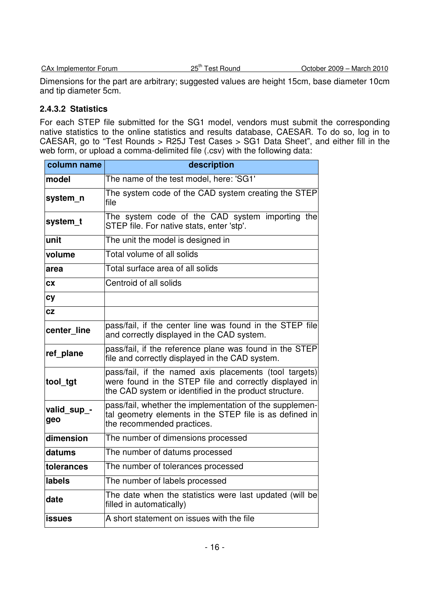| CAx Implementor Forum |  |
|-----------------------|--|
|                       |  |

Dimensions for the part are arbitrary; suggested values are height 15cm, base diameter 10cm and tip diameter 5cm.

#### **2.4.3.2 Statistics**

For each STEP file submitted for the SG1 model, vendors must submit the corresponding native statistics to the online statistics and results database, CAESAR. To do so, log in to CAESAR, go to "Test Rounds > R25J Test Cases > SG1 Data Sheet", and either fill in the web form, or upload a comma-delimited file (.csv) with the following data:

| column name        | description                                                                                                                                                                |  |  |
|--------------------|----------------------------------------------------------------------------------------------------------------------------------------------------------------------------|--|--|
| model              | The name of the test model, here: 'SG1'                                                                                                                                    |  |  |
| system_n           | The system code of the CAD system creating the STEP<br>file                                                                                                                |  |  |
| system_t           | The system code of the CAD system importing the<br>STEP file. For native stats, enter 'stp'.                                                                               |  |  |
| unit               | The unit the model is designed in                                                                                                                                          |  |  |
| volume             | Total volume of all solids                                                                                                                                                 |  |  |
| area               | Total surface area of all solids                                                                                                                                           |  |  |
| <b>CX</b>          | Centroid of all solids                                                                                                                                                     |  |  |
| <b>cy</b>          |                                                                                                                                                                            |  |  |
| CZ                 |                                                                                                                                                                            |  |  |
| center line        | pass/fail, if the center line was found in the STEP file<br>and correctly displayed in the CAD system.                                                                     |  |  |
| ref plane          | pass/fail, if the reference plane was found in the STEP<br>file and correctly displayed in the CAD system.                                                                 |  |  |
| tool_tgt           | pass/fail, if the named axis placements (tool targets)<br>were found in the STEP file and correctly displayed in<br>the CAD system or identified in the product structure. |  |  |
| valid_sup_-<br>geo | pass/fail, whether the implementation of the supplemen-<br>tal geometry elements in the STEP file is as defined in<br>the recommended practices.                           |  |  |
| dimension          | The number of dimensions processed                                                                                                                                         |  |  |
| datums             | The number of datums processed                                                                                                                                             |  |  |
| tolerances         | The number of tolerances processed                                                                                                                                         |  |  |
| labels             | The number of labels processed                                                                                                                                             |  |  |
| date               | The date when the statistics were last updated (will be<br>filled in automatically)                                                                                        |  |  |
| <b>issues</b>      | A short statement on issues with the file                                                                                                                                  |  |  |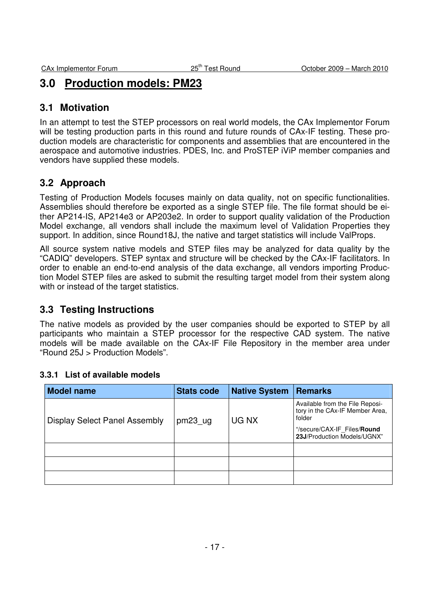## **3.0 Production models: PM23**

### **3.1 Motivation**

In an attempt to test the STEP processors on real world models, the CAx Implementor Forum will be testing production parts in this round and future rounds of CAx-IF testing. These production models are characteristic for components and assemblies that are encountered in the aerospace and automotive industries. PDES, Inc. and ProSTEP iViP member companies and vendors have supplied these models.

## **3.2 Approach**

Testing of Production Models focuses mainly on data quality, not on specific functionalities. Assemblies should therefore be exported as a single STEP file. The file format should be either AP214-IS, AP214e3 or AP203e2. In order to support quality validation of the Production Model exchange, all vendors shall include the maximum level of Validation Properties they support. In addition, since Round18J, the native and target statistics will include ValProps.

All source system native models and STEP files may be analyzed for data quality by the "CADIQ" developers. STEP syntax and structure will be checked by the CAx-IF facilitators. In order to enable an end-to-end analysis of the data exchange, all vendors importing Production Model STEP files are asked to submit the resulting target model from their system along with or instead of the target statistics.

## **3.3 Testing Instructions**

The native models as provided by the user companies should be exported to STEP by all participants who maintain a STEP processor for the respective CAD system. The native models will be made available on the CAx-IF File Repository in the member area under "Round 25J > Production Models".

#### **3.3.1 List of available models**

| <b>Model name</b>                    | <b>Stats code</b>   | <b>Native System</b> | <b>Remarks</b>                                                                                                                             |
|--------------------------------------|---------------------|----------------------|--------------------------------------------------------------------------------------------------------------------------------------------|
| <b>Display Select Panel Assembly</b> | pm23 <sub>u</sub> g | UG NX                | Available from the File Reposi-<br>tory in the CAx-IF Member Area,<br>folder<br>"/secure/CAX-IF Files/Round<br>23J/Production Models/UGNX" |
|                                      |                     |                      |                                                                                                                                            |
|                                      |                     |                      |                                                                                                                                            |
|                                      |                     |                      |                                                                                                                                            |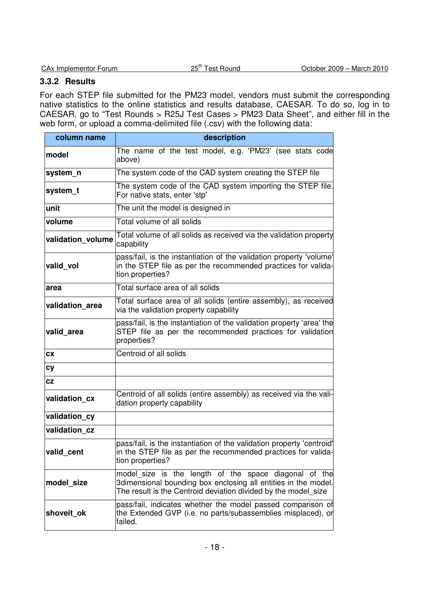| <b>CAx Implementor Forum</b> |  |
|------------------------------|--|

#### **3.3.2 Results**

For each STEP file submitted for the PM23 model, vendors must submit the corresponding native statistics to the online statistics and results database, CAESAR. To do so, log in to CAESAR, go to "Test Rounds > R25J Test Cases > PM23 Data Sheet", and either fill in the web form, or upload a comma-delimited file (.csv) with the following data:

| column name       | description                                                                                                                                                                               |  |  |
|-------------------|-------------------------------------------------------------------------------------------------------------------------------------------------------------------------------------------|--|--|
| model             | The name of the test model, e.g. 'PM23' (see stats code<br>above)                                                                                                                         |  |  |
| system_n          | The system code of the CAD system creating the STEP file                                                                                                                                  |  |  |
| system_t          | The system code of the CAD system importing the STEP file.<br>For native stats, enter 'stp'                                                                                               |  |  |
| unit              | The unit the model is designed in                                                                                                                                                         |  |  |
| volume            | Total volume of all solids                                                                                                                                                                |  |  |
| validation_volume | Total volume of all solids as received via the validation property<br>capability                                                                                                          |  |  |
| valid_vol         | pass/fail, is the instantiation of the validation property 'volume'<br>in the STEP file as per the recommended practices for valida-<br>tion properties?                                  |  |  |
| area              | Total surface area of all solids                                                                                                                                                          |  |  |
| validation area   | Total surface area of all solids (entire assembly), as received<br>via the validation property capability                                                                                 |  |  |
| valid area        | pass/fail, is the instantiation of the validation property 'area' the<br>STEP file as per the recommended practices for validation<br>properties?                                         |  |  |
| СX                | Centroid of all solids                                                                                                                                                                    |  |  |
| <b>cy</b>         |                                                                                                                                                                                           |  |  |
| <b>CZ</b>         |                                                                                                                                                                                           |  |  |
| validation_cx     | Centroid of all solids (entire assembly) as received via the vali-<br>dation property capability                                                                                          |  |  |
| validation_cy     |                                                                                                                                                                                           |  |  |
| validation cz     |                                                                                                                                                                                           |  |  |
| valid cent        | pass/fail, is the instantiation of the validation property 'centroid'<br>in the STEP file as per the recommended practices for valida-<br>tion properties?                                |  |  |
| model_size        | model_size is the length of the space diagonal of the<br>3dimensional bounding box enclosing all entities in the model.<br>The result is the Centroid deviation divided by the model_size |  |  |
| shoveit_ok        | pass/fail, indicates whether the model passed comparison of<br>the Extended GVP (i.e. no parts/subassemblies misplaced), or<br>failed.                                                    |  |  |